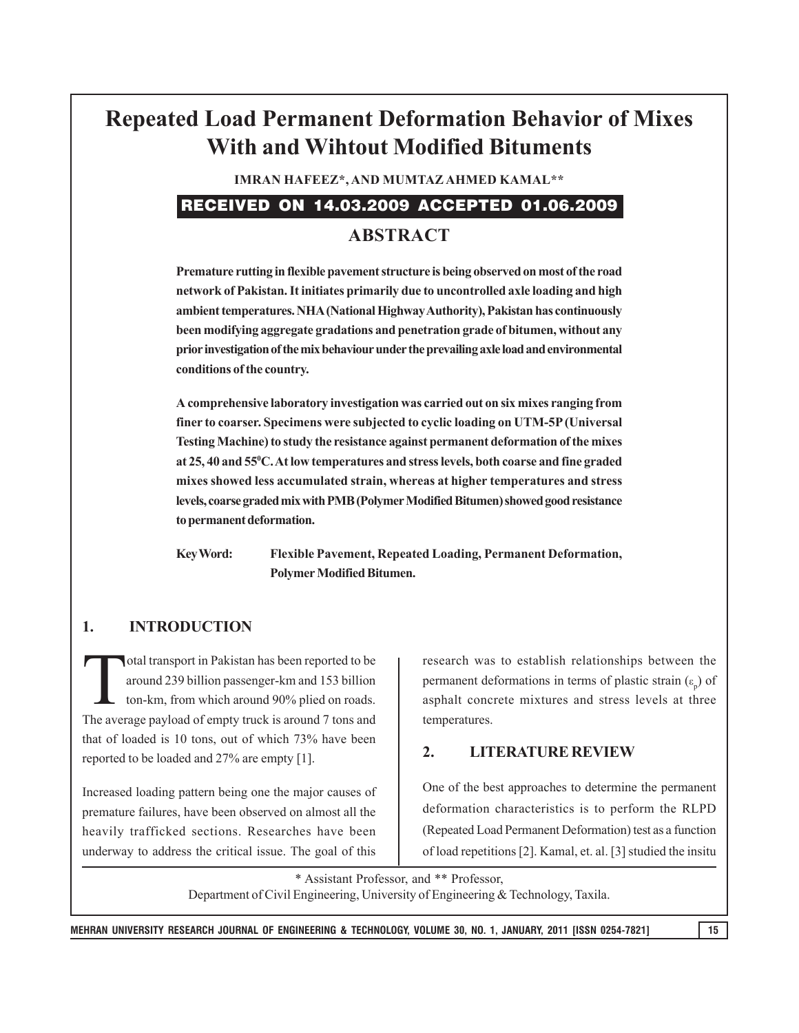# **Repeated Load Permanent Deformation Behavior of Mixes With and Wihtout Modified Bituments**

**IMRAN HAFEEZ\*, AND MUMTAZ AHMED KAMAL\*\***

## RECEIVED ON 14.03.2009 ACCEPTED 01.06.2009

## **ABSTRACT**

**Premature rutting in flexible pavement structure is being observed on most of the road network of Pakistan. It initiates primarily due to uncontrolled axle loading and high ambient temperatures. NHA (National Highway Authority), Pakistan has continuously been modifying aggregate gradations and penetration grade of bitumen, without any prior investigation of the mix behaviour under the prevailing axle load and environmental conditions of the country.**

**A comprehensive laboratory investigation was carried out on six mixes ranging from finer to coarser. Specimens were subjected to cyclic loading on UTM-5P (Universal Testing Machine) to study the resistance against permanent deformation of the mixes at 25, 40 and 550 C. At low temperatures and stress levels, both coarse and fine graded mixes showed less accumulated strain, whereas at higher temperatures and stress levels, coarse graded mix with PMB (Polymer Modified Bitumen) showed good resistance to permanent deformation.**

**Key Word: Flexible Pavement, Repeated Loading, Permanent Deformation, Polymer Modified Bitumen.**

### **1. INTRODUCTION**

Total transport in Pakistan has been reported to be<br>around 239 billion passenger-km and 153 billion<br>ton-km, from which around 90% plied on roads. around 239 billion passenger-km and 153 billion ton-km, from which around 90% plied on roads. The average payload of empty truck is around 7 tons and that of loaded is 10 tons, out of which 73% have been reported to be loaded and 27% are empty [1].

Increased loading pattern being one the major causes of premature failures, have been observed on almost all the heavily trafficked sections. Researches have been underway to address the critical issue. The goal of this

research was to establish relationships between the permanent deformations in terms of plastic strain  $(\varepsilon_p)$  of asphalt concrete mixtures and stress levels at three temperatures.

#### **2. LITERATURE REVIEW**

One of the best approaches to determine the permanent deformation characteristics is to perform the RLPD (Repeated Load Permanent Deformation) test as a function of load repetitions [2]. Kamal, et. al. [3] studied the insitu

\* Assistant Professor, and \*\* Professor, Department of Civil Engineering, University of Engineering & Technology, Taxila.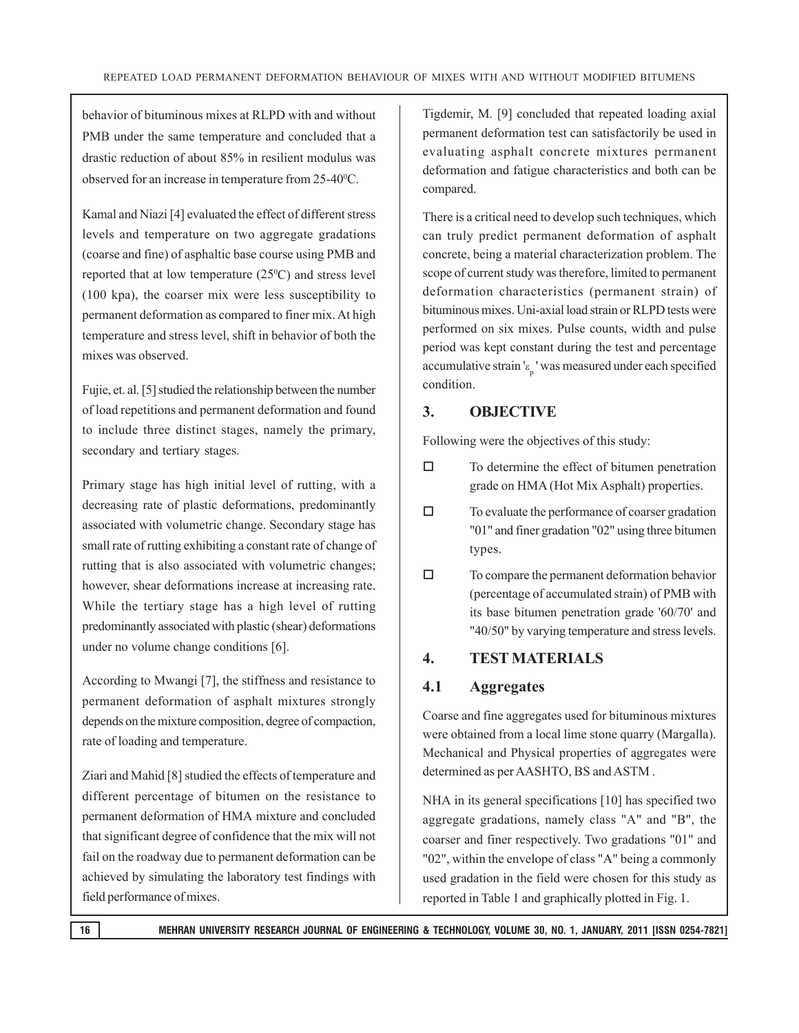behavior of bituminous mixes at RLPD with and without PMB under the same temperature and concluded that a drastic reduction of about 85% in resilient modulus was observed for an increase in temperature from 25-40°C.

Kamal and Niazi [4] evaluated the effect of different stress levels and temperature on two aggregate gradations (coarse and fine) of asphaltic base course using PMB and reported that at low temperature  $(25^{\circ}C)$  and stress level (100 kpa), the coarser mix were less susceptibility to permanent deformation as compared to finer mix. At high temperature and stress level, shift in behavior of both the mixes was observed.

Fujie, et. al. [5] studied the relationship between the number of load repetitions and permanent deformation and found to include three distinct stages, namely the primary, secondary and tertiary stages.

Primary stage has high initial level of rutting, with a decreasing rate of plastic deformations, predominantly associated with volumetric change. Secondary stage has small rate of rutting exhibiting a constant rate of change of rutting that is also associated with volumetric changes; however, shear deformations increase at increasing rate. While the tertiary stage has a high level of rutting predominantly associated with plastic (shear) deformations under no volume change conditions [6].

According to Mwangi [7], the stiffness and resistance to permanent deformation of asphalt mixtures strongly depends on the mixture composition, degree of compaction, rate of loading and temperature.

Ziari and Mahid [8] studied the effects of temperature and different percentage of bitumen on the resistance to permanent deformation of HMA mixture and concluded that significant degree of confidence that the mix will not fail on the roadway due to permanent deformation can be achieved by simulating the laboratory test findings with field performance of mixes.

Tigdemir, M. [9] concluded that repeated loading axial permanent deformation test can satisfactorily be used in evaluating asphalt concrete mixtures permanent deformation and fatigue characteristics and both can be compared.

There is a critical need to develop such techniques, which can truly predict permanent deformation of asphalt concrete, being a material characterization problem. The scope of current study was therefore, limited to permanent deformation characteristics (permanent strain) of bituminous mixes. Uni-axial load strain or RLPD tests were performed on six mixes. Pulse counts, width and pulse period was kept constant during the test and percentage accumulative strain ' $\varepsilon_{p}$ ' was measured under each specified condition.

#### **3. OBJECTIVE**

Following were the objectives of this study:

- $\Box$  To determine the effect of bitumen penetration grade on HMA (Hot Mix Asphalt) properties.
- $\Box$  To evaluate the performance of coarser gradation "01" and finer gradation "02" using three bitumen types.
- $\Box$  To compare the permanent deformation behavior (percentage of accumulated strain) of PMB with its base bitumen penetration grade '60/70' and "40/50" by varying temperature and stress levels.

#### **4. TEST MATERIALS**

#### **4.1 Aggregates**

Coarse and fine aggregates used for bituminous mixtures were obtained from a local lime stone quarry (Margalla). Mechanical and Physical properties of aggregates were determined as per AASHTO, BS and ASTM .

NHA in its general specifications [10] has specified two aggregate gradations, namely class "A" and "B", the coarser and finer respectively. Two gradations "01" and "02", within the envelope of class "A" being a commonly used gradation in the field were chosen for this study as reported in Table 1 and graphically plotted in Fig. 1.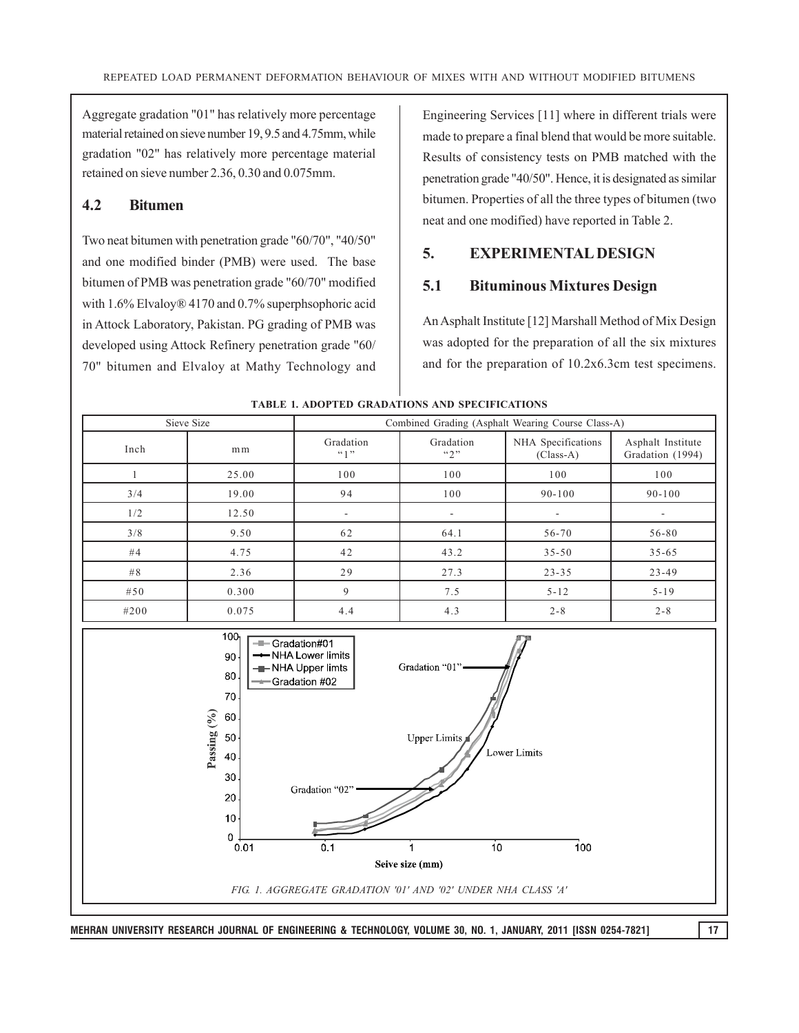Aggregate gradation "01" has relatively more percentage material retained on sieve number 19, 9.5 and 4.75mm, while gradation "02" has relatively more percentage material retained on sieve number 2.36, 0.30 and 0.075mm.

#### **4.2 Bitumen**

Two neat bitumen with penetration grade "60/70", "40/50" and one modified binder (PMB) were used. The base bitumen of PMB was penetration grade "60/70" modified with 1.6% Elvaloy® 4170 and 0.7% superphsophoric acid in Attock Laboratory, Pakistan. PG grading of PMB was developed using Attock Refinery penetration grade "60/ 70" bitumen and Elvaloy at Mathy Technology and Engineering Services [11] where in different trials were made to prepare a final blend that would be more suitable. Results of consistency tests on PMB matched with the penetration grade "40/50". Hence, it is designated as similar bitumen. Properties of all the three types of bitumen (two neat and one modified) have reported in Table 2.

#### **5. EXPERIMENTAL DESIGN**

#### **5.1 Bituminous Mixtures Design**

An Asphalt Institute [12] Marshall Method of Mix Design was adopted for the preparation of all the six mixtures and for the preparation of 10.2x6.3cm test specimens.



**TABLE 1. ADOPTED GRADATIONS AND SPECIFICATIONS**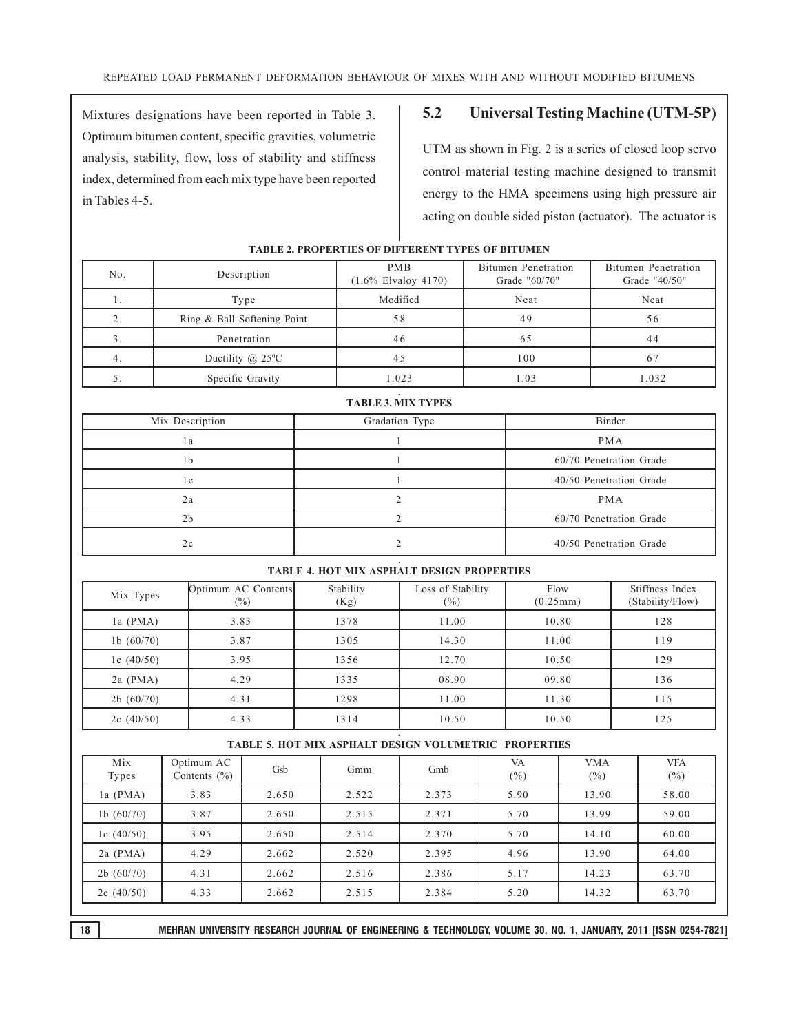Mixtures designations have been reported in Table 3. Optimum bitumen content, specific gravities, volumetric analysis, stability, flow, loss of stability and stiffness index, determined from each mix type have been reported in Tables 4-5.

#### **5.2 Universal Testing Machine (UTM-5P)**

UTM as shown in Fig. 2 is a series of closed loop servo control material testing machine designed to transmit energy to the HMA specimens using high pressure air acting on double sided piston (actuator). The actuator is

| No. | Description                       | <b>PMB</b><br>$(1.6\%$ Elvaloy 4170) | Bitumen Penetration<br>Grade "60/70" | Bitumen Penetration<br>Grade "40/50" |  |
|-----|-----------------------------------|--------------------------------------|--------------------------------------|--------------------------------------|--|
| 1.  | Type                              | Modified                             | Neat                                 | Neat                                 |  |
|     | Ring & Ball Softening Point       | 58                                   | 49                                   | 56                                   |  |
|     | Penetration                       | 46                                   | 65                                   | 44                                   |  |
|     | Ductility $(a)$ 25 <sup>o</sup> C | 45                                   | 100                                  |                                      |  |
|     | Specific Gravity                  | 1.023                                | 1.03                                 | 1.032                                |  |

**TABLE 3. MIX TYPES**

#### **TABLE 2. PROPERTIES OF DIFFERENT TYPES OF BITUMEN**

| Mix Description | Gradation Type | Binder                  |  |  |  |
|-----------------|----------------|-------------------------|--|--|--|
| l a             |                | <b>PMA</b>              |  |  |  |
| 1b              |                | 60/70 Penetration Grade |  |  |  |
| 1 c             |                | 40/50 Penetration Grade |  |  |  |
| 2a              |                | <b>PMA</b>              |  |  |  |
| 2 <sub>b</sub>  |                | 60/70 Penetration Grade |  |  |  |
| 2c              |                | 40/50 Penetration Grade |  |  |  |

#### **TABLE 4. HOT MIX ASPHALT DESIGN PROPERTIES**

| Mix Types    | Optimum AC Contents<br>$(\%)$ | Stability<br>(Kg) | Loss of Stability<br>$(\%)$ | Flow<br>(0.25mm) | Stiffness Index<br>(Stability/Flow) |
|--------------|-------------------------------|-------------------|-----------------------------|------------------|-------------------------------------|
| $1a$ (PMA)   | 3.83                          | 1378              | 11.00                       | 10.80            | 128                                 |
| 1b $(60/70)$ | 3.87                          | 1305              | 14.30                       | 11.00            | 119                                 |
| 1c $(40/50)$ | 3.95                          | 1356              | 12.70                       | 10.50            | 129                                 |
| $2a$ (PMA)   | 4.29                          | 1335              | 08.90                       | 09.80            | 136                                 |
| 2b(60/70)    | 4.31                          | 1298              | 11.00                       | 11.30            | 115                                 |
| 2c(40/50)    | 4.33                          | 1314              | 10.50                       | 10.50            | 125                                 |

#### **TABLE 5. HOT MIX ASPHALT DESIGN VOLUMETRIC PROPERTIES**

| Mix<br>Types | Optimum AC<br>Contents $(\% )$ | Gsb   | Gmm   | Gmb   | VA<br>$(\%)$ | <b>VMA</b><br>$(\%)$ | <b>VFA</b><br>$(\%)$ |
|--------------|--------------------------------|-------|-------|-------|--------------|----------------------|----------------------|
| la $(PMA)$   | 3.83                           | 2.650 | 2.522 | 2.373 | 5.90         | 13.90                | 58.00                |
| 1b $(60/70)$ | 3.87                           | 2.650 | 2.515 | 2.371 | 5.70         | 13.99                | 59.00                |
| 1c $(40/50)$ | 3.95                           | 2.650 | 2.514 | 2.370 | 5.70         | 14.10                | 60.00                |
| $2a$ (PMA)   | 4.29                           | 2.662 | 2.520 | 2.395 | 4.96         | 13.90                | 64.00                |
| 2b(60/70)    | 4.31                           | 2.662 | 2.516 | 2.386 | 5.17         | 14.23                | 63.70                |
| 2c(40/50)    | 4.33                           | 2.662 | 2.515 | 2.384 | 5.20         | 14.32                | 63.70                |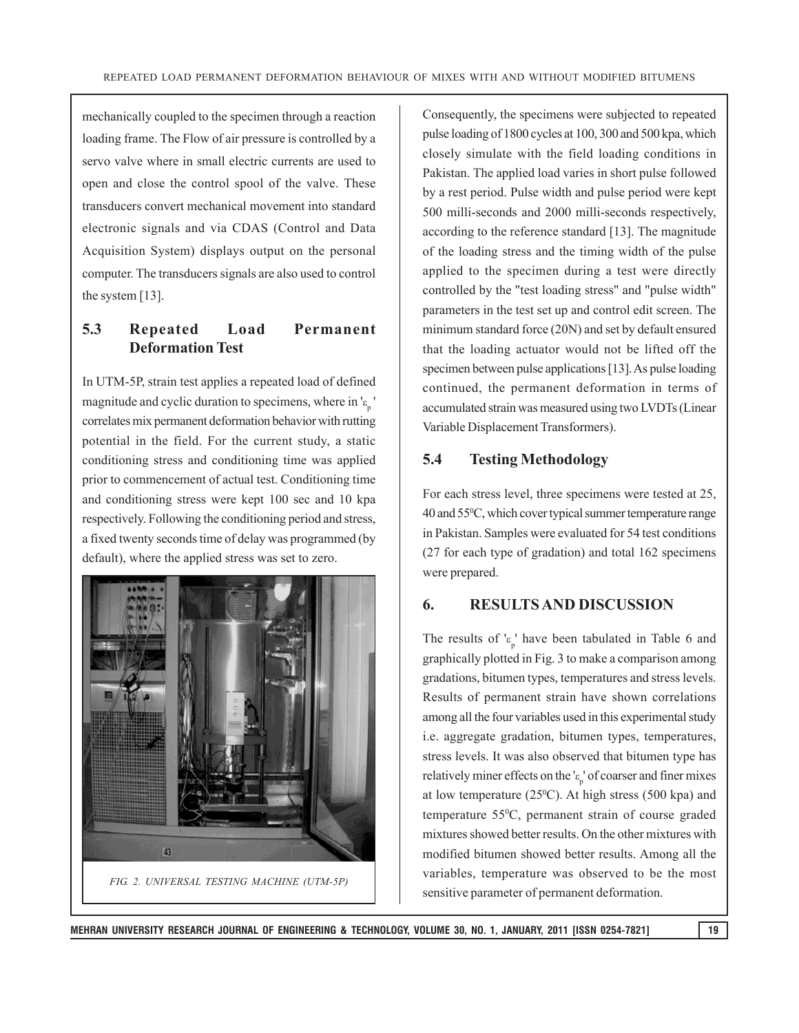mechanically coupled to the specimen through a reaction loading frame. The Flow of air pressure is controlled by a servo valve where in small electric currents are used to open and close the control spool of the valve. These transducers convert mechanical movement into standard electronic signals and via CDAS (Control and Data Acquisition System) displays output on the personal computer. The transducers signals are also used to control the system [13].

### **5.3 Repeated Load Permanent Deformation Test**

In UTM-5P, strain test applies a repeated load of defined magnitude and cyclic duration to specimens, where in  $\binom{1}{p}$ correlates mix permanent deformation behavior with rutting potential in the field. For the current study, a static conditioning stress and conditioning time was applied prior to commencement of actual test. Conditioning time and conditioning stress were kept 100 sec and 10 kpa respectively. Following the conditioning period and stress, a fixed twenty seconds time of delay was programmed (by default), where the applied stress was set to zero.



Consequently, the specimens were subjected to repeated pulse loading of 1800 cycles at 100, 300 and 500 kpa, which closely simulate with the field loading conditions in Pakistan. The applied load varies in short pulse followed by a rest period. Pulse width and pulse period were kept 500 milli-seconds and 2000 milli-seconds respectively, according to the reference standard [13]. The magnitude of the loading stress and the timing width of the pulse applied to the specimen during a test were directly controlled by the "test loading stress" and "pulse width" parameters in the test set up and control edit screen. The minimum standard force (20N) and set by default ensured that the loading actuator would not be lifted off the specimen between pulse applications [13]. As pulse loading continued, the permanent deformation in terms of accumulated strain was measured using two LVDTs (Linear Variable Displacement Transformers).

#### **5.4 Testing Methodology**

For each stress level, three specimens were tested at 25, 40 and 550 C, which cover typical summer temperature range in Pakistan. Samples were evaluated for 54 test conditions (27 for each type of gradation) and total 162 specimens were prepared.

#### **6. RESULTS AND DISCUSSION**

The results of  $k_p$ ' have been tabulated in Table 6 and graphically plotted in Fig. 3 to make a comparison among gradations, bitumen types, temperatures and stress levels. Results of permanent strain have shown correlations among all the four variables used in this experimental study i.e. aggregate gradation, bitumen types, temperatures, stress levels. It was also observed that bitumen type has relatively miner effects on the ' $\epsilon$ <sub>p</sub>' of coarser and finer mixes at low temperature  $(25^{\circ}C)$ . At high stress (500 kpa) and temperature 550 C, permanent strain of course graded mixtures showed better results. On the other mixtures with modified bitumen showed better results. Among all the variables, temperature was observed to be the most sensitive parameter of permanent deformation.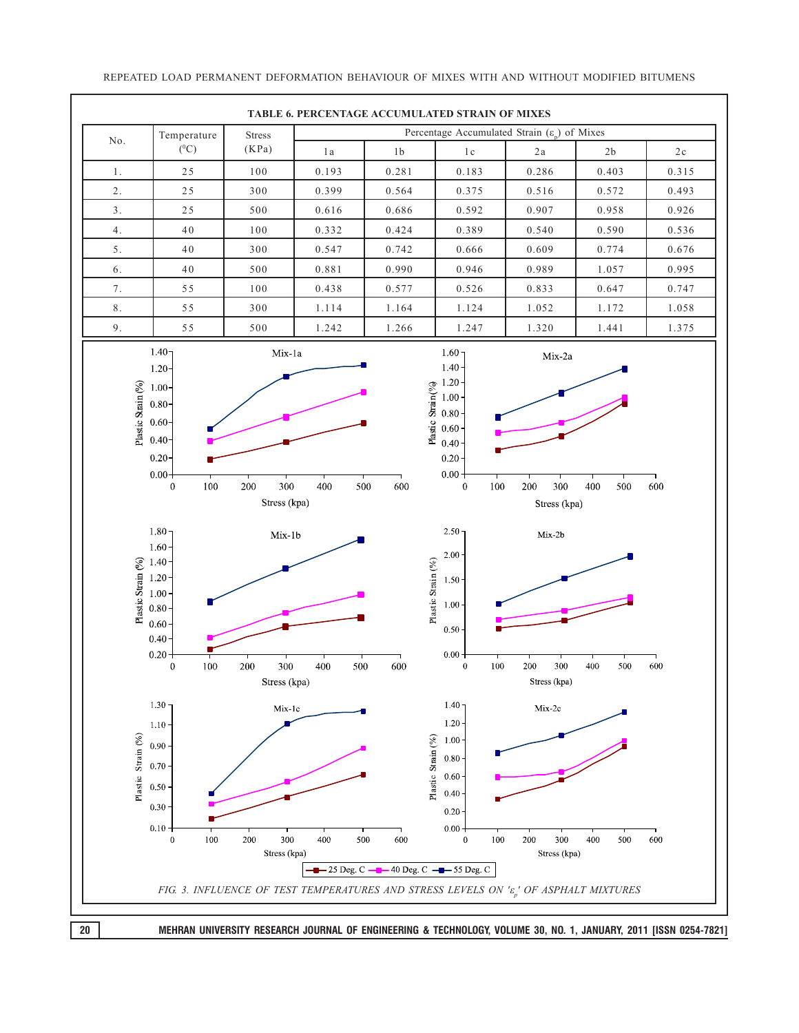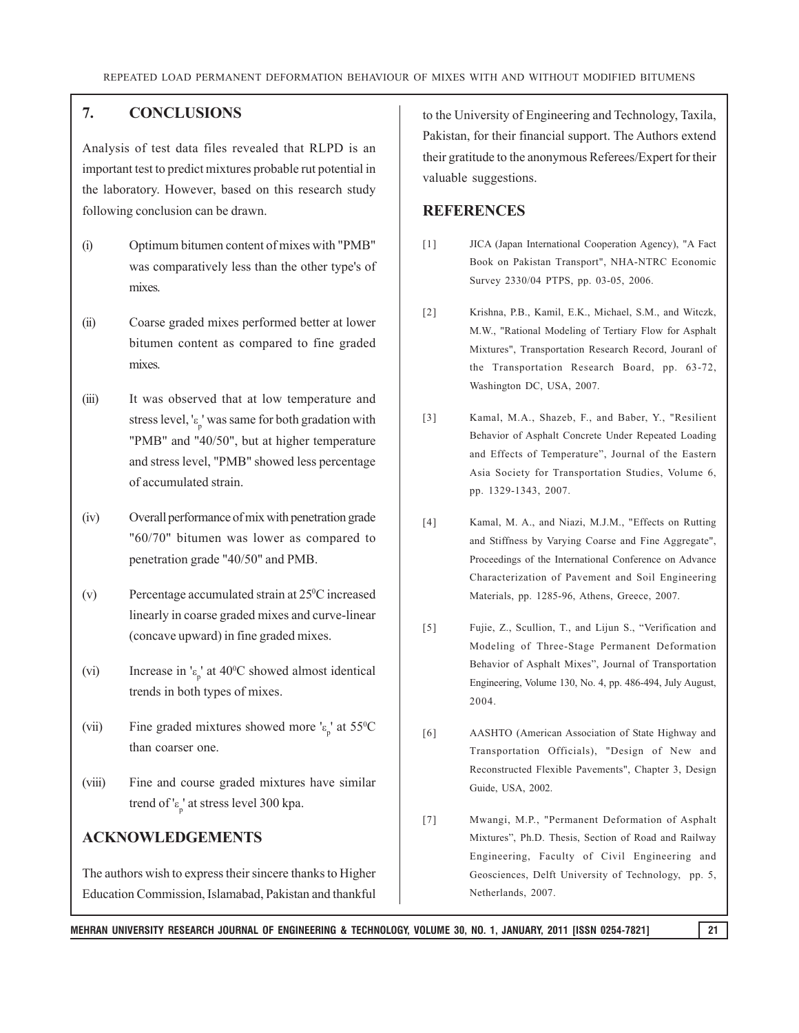#### **7. CONCLUSIONS**

Analysis of test data files revealed that RLPD is an important test to predict mixtures probable rut potential in the laboratory. However, based on this research study following conclusion can be drawn.

- (i) Optimum bitumen content of mixes with "PMB" was comparatively less than the other type's of mixes.
- (ii) Coarse graded mixes performed better at lower bitumen content as compared to fine graded mixes.
- (iii) It was observed that at low temperature and stress level, ' $\epsilon_p$ ' was same for both gradation with "PMB" and "40/50", but at higher temperature and stress level, "PMB" showed less percentage of accumulated strain.
- (iv) Overall performance of mix with penetration grade "60/70" bitumen was lower as compared to penetration grade "40/50" and PMB.
- (v) Percentage accumulated strain at 250 C increased linearly in coarse graded mixes and curve-linear (concave upward) in fine graded mixes.
- (vi) Increase in ' $\epsilon_p$ ' at 40°C showed almost identical trends in both types of mixes.
- (vii) Fine graded mixtures showed more ' $\epsilon_p$ ' at 55<sup>o</sup>C than coarser one.
- (viii) Fine and course graded mixtures have similar trend of ' $\epsilon_{\rm p}$ ' at stress level 300 kpa.

#### **ACKNOWLEDGEMENTS**

The authors wish to express their sincere thanks to Higher Education Commission, Islamabad, Pakistan and thankful to the University of Engineering and Technology, Taxila, Pakistan, for their financial support. The Authors extend their gratitude to the anonymous Referees/Expert for their valuable suggestions.

#### **REFERENCES**

- [1] JICA (Japan International Cooperation Agency), "A Fact Book on Pakistan Transport", NHA-NTRC Economic Survey 2330/04 PTPS, pp. 03-05, 2006.
- [2] Krishna, P.B., Kamil, E.K., Michael, S.M., and Witczk, M.W., "Rational Modeling of Tertiary Flow for Asphalt Mixtures", Transportation Research Record, Jouranl of the Transportation Research Board, pp. 63-72, Washington DC, USA, 2007.
- [3] Kamal, M.A., Shazeb, F., and Baber, Y., "Resilient Behavior of Asphalt Concrete Under Repeated Loading and Effects of Temperature", Journal of the Eastern Asia Society for Transportation Studies, Volume 6, pp. 1329-1343, 2007.
- [4] Kamal, M. A., and Niazi, M.J.M., "Effects on Rutting and Stiffness by Varying Coarse and Fine Aggregate", Proceedings of the International Conference on Advance Characterization of Pavement and Soil Engineering Materials, pp. 1285-96, Athens, Greece, 2007.
- [5] Fujie, Z., Scullion, T., and Lijun S., "Verification and Modeling of Three-Stage Permanent Deformation Behavior of Asphalt Mixes", Journal of Transportation Engineering, Volume 130, No. 4, pp. 486-494, July August, 2004.
- [6] AASHTO (American Association of State Highway and Transportation Officials), "Design of New and Reconstructed Flexible Pavements", Chapter 3, Design Guide, USA, 2002.
- [7] Mwangi, M.P., "Permanent Deformation of Asphalt Mixtures", Ph.D. Thesis, Section of Road and Railway Engineering, Faculty of Civil Engineering and Geosciences, Delft University of Technology, pp. 5, Netherlands, 2007.